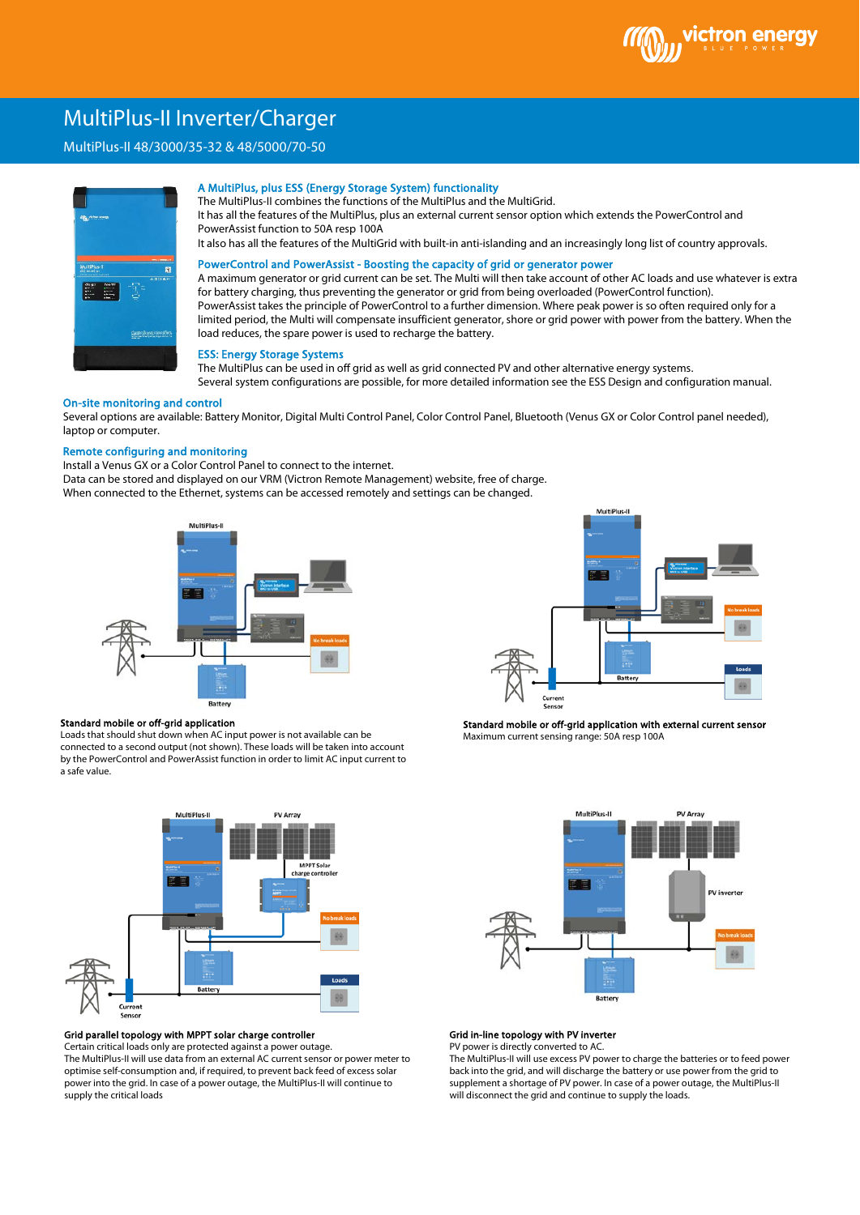## MultiPlus-II Inverter/Charger

# \ MultiPlus-II 48/3000/35-32 & 48/5000/70-50



#### A MultiPlus, plus ESS (Energy Storage System) functionality

The MultiPlus-II combines the functions of the MultiPlus and the MultiGrid.

It has all the features of the MultiPlus, plus an external current sensor option which extends the PowerControl and PowerAssist function to 50A resp 100A

It also has all the features of the MultiGrid with built-in anti-islanding and an increasingly long list of country approvals.

## PowerControl and PowerAssist - Boosting the capacity of grid or generator power

A maximum generator or grid current can be set. The Multi will then take account of other AC loads and use whatever is extra for battery charging, thus preventing the generator or grid from being overloaded (PowerControl function). PowerAssist takes the principle of PowerControl to a further dimension. Where peak power is so often required only for a limited period, the Multi will compensate insufficient generator, shore or grid power with power from the battery. When the load reduces, the spare power is used to recharge the battery.

## ESS: Energy Storage Systems

The MultiPlus can be used in off grid as well as grid connected PV and other alternative energy systems. Several system configurations are possible, for more detailed information see the ESS Design and configuration manual.

## On-site monitoring and control

Several options are available: Battery Monitor, Digital Multi Control Panel, Color Control Panel, Bluetooth (Venus GX or Color Control panel needed), laptop or computer.

## Remote configuring and monitoring

Install a Venus GX or a Color Control Panel to connect to the internet. Data can be stored and displayed on our VRM (Victron Remote Management) website, free of charge. When connected to the Ethernet, systems can be accessed remotely and settings can be changed.



#### Standard mobile or off-grid application

Loads that should shut down when AC input power is not available can be connected to a second output (not shown). These loads will be taken into account by the PowerControl and PowerAssist function in order to limit AC input current to a safe value.



#### Grid parallel topology with MPPT solar charge controller

Certain critical loads only are protected against a power outage. The MultiPlus-II will use data from an external AC current sensor or power meter to optimise self-consumption and, if required, to prevent back feed of excess solar power into the grid. In case of a power outage, the MultiPlus-II will continue to supply the critical loads



Standard mobile or off-grid application with external current sensor Maximum current sensing range: 50A resp 100A



## Grid in-line topology with PV inverter

PV power is directly converted to AC.

The MultiPlus-II will use excess PV power to charge the batteries or to feed power back into the grid, and will discharge the battery or use power from the grid to supplement a shortage of PV power. In case of a power outage, the MultiPlus-II will disconnect the grid and continue to supply the loads.